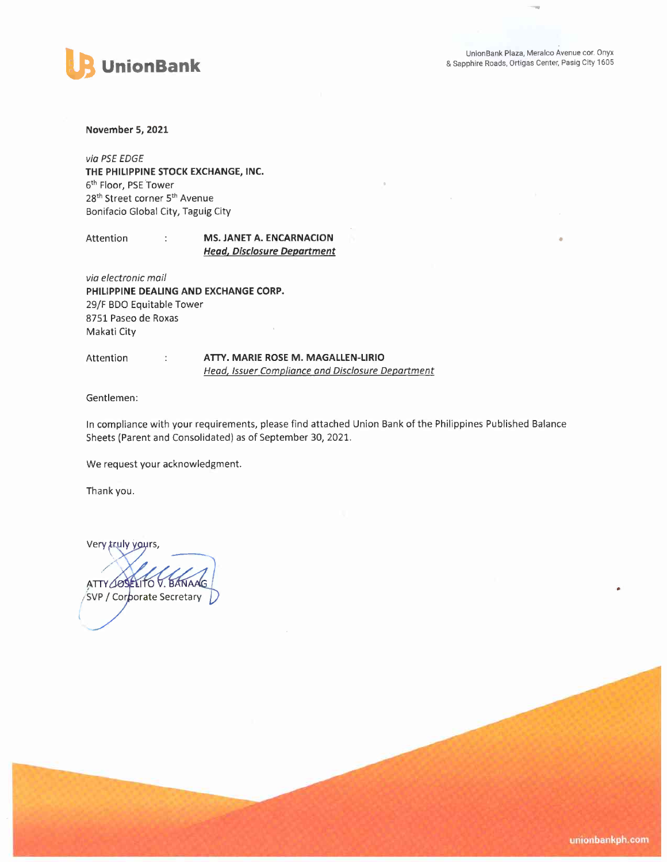

November 5, 2021

via PSE EDGE THE PHILIPPINE STOCK EXCHANGE, INC. 6<sup>th</sup> Floor, PSE Tower 28<sup>th</sup> Street corner 5<sup>th</sup> Avenue Bonifacio Global City, Taguig City

÷

Attention

## MS. JANET A. ENCARNACION **Head, Disclosure Department**

via electronic mail PHILIPPINE DEALING AND EXCHANGE CORP. 29/F BDO Equitable Tower 8751 Paseo de Roxas Makati City

 $\overline{z}$  .

Attention

ATTY. MARIE ROSE M. MAGALLEN-LIRIO **Head, Issuer Compliance and Disclosure Department** 

Gentlemen:

In compliance with your requirements, please find attached Union Bank of the Philippines Published Balance Sheets (Parent and Consolidated) as of September 30, 2021.

We request your acknowledgment.

Thank you.

Very truly yours,

ATTY JOSELITO V. BANAAG SVP / Corporate Secretary